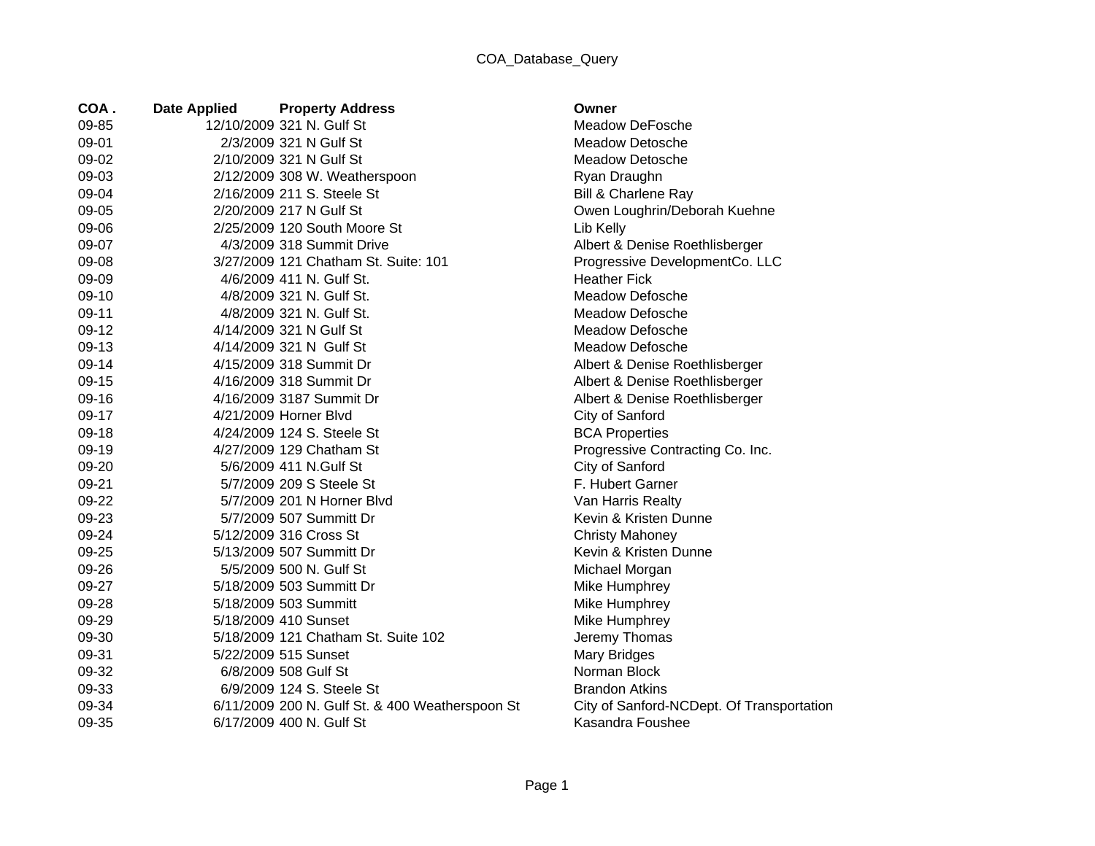## COA\_Database\_Query

| COA.  | <b>Date Applied</b> | <b>Property Address</b>                         | Owner         |
|-------|---------------------|-------------------------------------------------|---------------|
| 09-85 |                     | 12/10/2009 321 N. Gulf St                       | Meado         |
| 09-01 |                     | 2/3/2009 321 N Gulf St                          | Meado         |
| 09-02 |                     | 2/10/2009 321 N Gulf St                         | Meado         |
| 09-03 |                     | 2/12/2009 308 W. Weatherspoon                   | Ryan D        |
| 09-04 |                     | 2/16/2009 211 S. Steele St                      | Bill & C      |
| 09-05 |                     | 2/20/2009 217 N Gulf St                         | Owen I        |
| 09-06 |                     | 2/25/2009 120 South Moore St                    | Lib Kel       |
| 09-07 |                     | 4/3/2009 318 Summit Drive                       | Albert &      |
| 09-08 |                     | 3/27/2009 121 Chatham St. Suite: 101            | Progre        |
| 09-09 |                     | 4/6/2009 411 N. Gulf St.                        | Heathe        |
| 09-10 |                     | 4/8/2009 321 N. Gulf St.                        | Meado         |
| 09-11 |                     | 4/8/2009 321 N. Gulf St.                        | Meado         |
| 09-12 |                     | 4/14/2009 321 N Gulf St                         | Meado         |
| 09-13 |                     | 4/14/2009 321 N Gulf St                         | Meado         |
| 09-14 |                     | 4/15/2009 318 Summit Dr                         | Albert &      |
| 09-15 |                     | 4/16/2009 318 Summit Dr                         | Albert &      |
| 09-16 |                     | 4/16/2009 3187 Summit Dr                        | Albert &      |
| 09-17 |                     | 4/21/2009 Horner Blvd                           | City of       |
| 09-18 |                     | 4/24/2009 124 S. Steele St                      | <b>BCAP</b>   |
| 09-19 |                     | 4/27/2009 129 Chatham St                        | Progre        |
| 09-20 |                     | 5/6/2009 411 N.Gulf St                          | City of       |
| 09-21 |                     | 5/7/2009 209 S Steele St                        | F. Hub        |
| 09-22 |                     | 5/7/2009 201 N Horner Blvd                      | Van Ha        |
| 09-23 |                     | 5/7/2009 507 Summitt Dr                         | Kevin &       |
| 09-24 |                     | 5/12/2009 316 Cross St                          | Christy       |
| 09-25 |                     | 5/13/2009 507 Summitt Dr                        | Kevin &       |
| 09-26 |                     | 5/5/2009 500 N. Gulf St                         | Michae        |
| 09-27 |                     | 5/18/2009 503 Summitt Dr                        | Mike H        |
| 09-28 |                     | 5/18/2009 503 Summitt                           | Mike H        |
| 09-29 |                     | 5/18/2009 410 Sunset                            | Mike H        |
| 09-30 |                     | 5/18/2009 121 Chatham St. Suite 102             | <b>Jeremy</b> |
| 09-31 |                     | 5/22/2009 515 Sunset                            | Mary B        |
| 09-32 |                     | 6/8/2009 508 Gulf St                            | Norma         |
| 09-33 |                     | 6/9/2009 124 S. Steele St                       | <b>Brandc</b> |
| 09-34 |                     | 6/11/2009 200 N. Gulf St. & 400 Weatherspoon St | City of       |
| 09-35 |                     | 6/17/2009 400 N. Gulf St                        | Kasano        |

Meadow DeFosche Meadow Detosche Meadow Detosche Ryan Draughn Bill & Charlene Ray Owen Loughrin/Deborah Kuehne Lib Kelly Albert & Denise Roethlisberger Progressive DevelopmentCo. LLC **Heather Fick** Meadow Defosche Meadow Defosche Meadow Defosche Meadow Defosche Albert & Denise Roethlisberger Albert & Denise Roethlisberger Albert & Denise Roethlisberger City of Sanford BCA Properties Progressive Contracting Co. Inc. City of Sanford F. Hubert Garner Van Harris Realty Kevin & Kristen Dunne Christy Mahoney Kevin & Kristen Dunne Michael Morgan Mike Humphrey Mike Humphrey Mike Humphrey Jeremy Thomas Mary Bridges Norman Block **Brandon Atkins** St City of Sanford-NCDept. Of Transportation Kasandra Foushee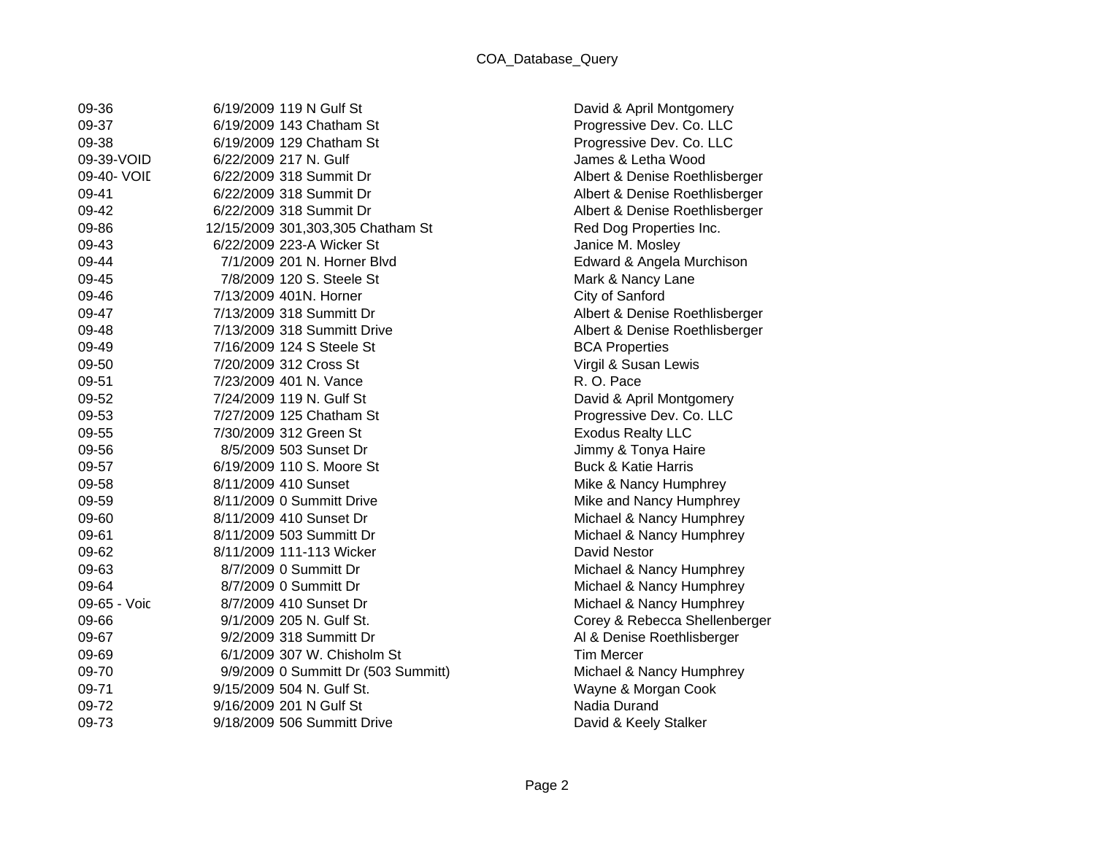| 09-36        | 6/19/2009 119 N Gulf St             |
|--------------|-------------------------------------|
| 09-37        | 6/19/2009 143 Chatham St            |
| 09-38        | 6/19/2009 129 Chatham St            |
| 09-39-VOID   | 6/22/2009 217 N. Gulf               |
| 09-40- VOII  | 6/22/2009 318 Summit Dr             |
| 09-41        | 6/22/2009 318 Summit Dr             |
| 09-42        | 6/22/2009 318 Summit Dr             |
| 09-86        | 12/15/2009 301,303,305 Chatham St   |
| 09-43        | 6/22/2009 223-A Wicker St           |
| 09-44        | 7/1/2009 201 N. Horner Blyd         |
| 09-45        | 7/8/2009 120 S. Steele St           |
| 09-46        | 7/13/2009 401N, Horner              |
| 09-47        | 7/13/2009 318 Summitt Dr            |
| 09-48        | 7/13/2009 318 Summitt Drive         |
| 09-49        | 7/16/2009 124 S Steele St           |
| 09-50        | 7/20/2009 312 Cross St              |
| 09-51        | 7/23/2009 401 N. Vance              |
| 09-52        | 7/24/2009 119 N. Gulf St            |
| 09-53        | 7/27/2009 125 Chatham St            |
| 09-55        | 7/30/2009 312 Green St              |
| 09-56        | 8/5/2009 503 Sunset Dr              |
| 09-57        | 6/19/2009 110 S. Moore St           |
| 09-58        | 8/11/2009 410 Sunset                |
| 09-59        | 8/11/2009 0 Summitt Drive           |
| 09-60        | 8/11/2009 410 Sunset Dr             |
| 09-61        | 8/11/2009 503 Summitt Dr            |
| 09-62        | 8/11/2009 111-113 Wicker            |
| 09-63        | 8/7/2009 0 Summitt Dr               |
| 09-64        | 8/7/2009 0 Summitt Dr               |
| 09-65 - Voic | 8/7/2009 410 Sunset Dr              |
| 09-66        | 9/1/2009 205 N. Gulf St.            |
| 09-67        | 9/2/2009 318 Summitt Dr             |
| 09-69        | 6/1/2009 307 W. Chisholm St         |
| 09-70        | 9/9/2009 0 Summitt Dr (503 Summitt) |
| 09-71        | 9/15/2009 504 N. Gulf St.           |
| 09-72        | 9/16/2009 201 N Gulf St             |
| 09-73        | 9/18/2009 506 Summitt Drive         |

David & April Montgomery Progressive Dev. Co. LLC Progressive Dev. Co. LLC James & Letha Wood Albert & Denise Roethlisberger Albert & Denise Roethlisberger Albert & Denise Roethlisberger Red Dog Properties Inc. Janice M. Mosley Edward & Angela Murchison Mark & Nancy Lane City of Sanford Albert & Denise Roethlisberger Albert & Denise Roethlisberger **BCA Properties** Virgil & Susan Lewis R. O. Pace David & April Montgomery Progressive Dev. Co. LLC **Exodus Realty LLC** Jimmy & Tonya Haire Buck & Katie Harris Mike & Nancy Humphrey Mike and Nancy Humphrey Michael & Nancy Humphrey Michael & Nancy Humphrey David Nestor Michael & Nancy Humphrey Michael & Nancy Humphrey Michael & Nancy Humphrey Corey & Rebecca Shellenberger Al & Denise Roethlisberger Tim Mercer Michael & Nancy Humphrey Wayne & Morgan Cook Nadia Durand David & Keely Stalker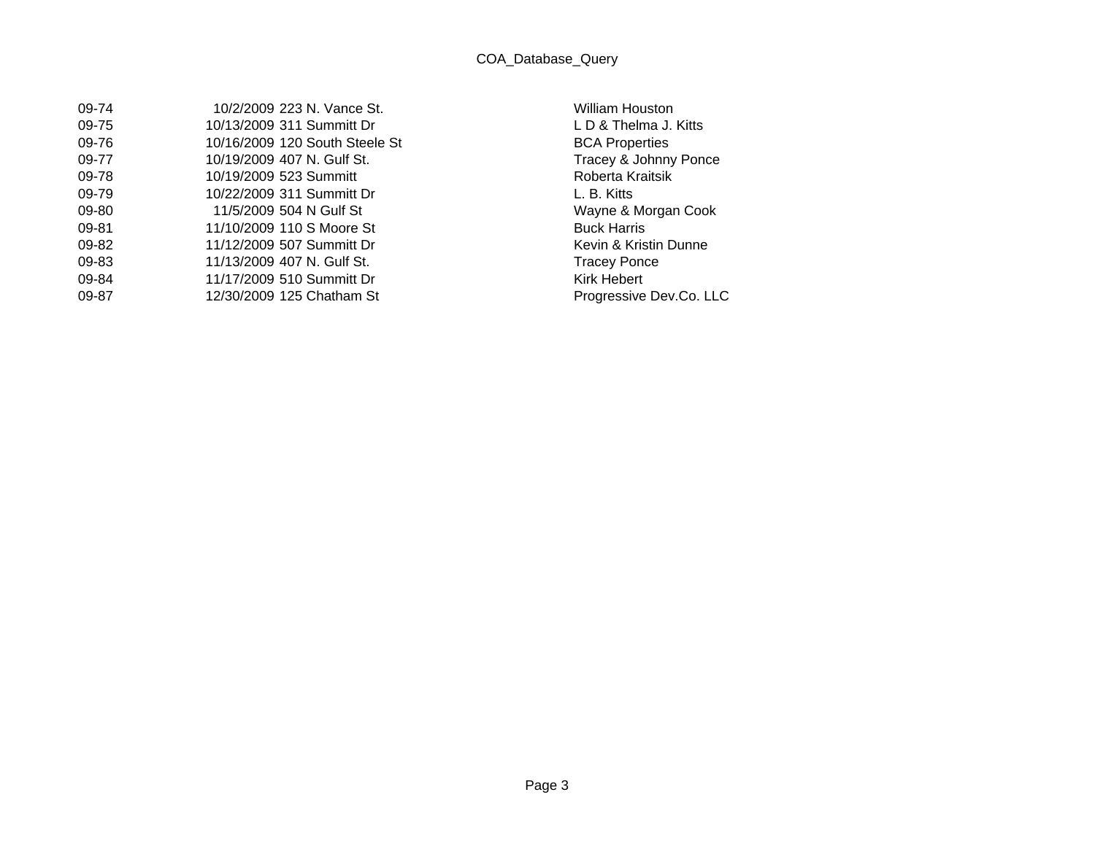| 09-74 | 10/2/2009 223 N. Vance St.     | <b>William Houston</b> |
|-------|--------------------------------|------------------------|
| 09-75 | 10/13/2009 311 Summitt Dr      | LD & Thelma J. Kitts   |
| 09-76 | 10/16/2009 120 South Steele St | <b>BCA Properties</b>  |
| 09-77 | 10/19/2009 407 N. Gulf St.     | Tracey & Johnny Ponce  |
| 09-78 | 10/19/2009 523 Summitt         | Roberta Kraitsik       |
| 09-79 | 10/22/2009 311 Summitt Dr      | L. B. Kitts            |
| 09-80 | 11/5/2009 504 N Gulf St        | Wayne & Morgan Cook    |
| 09-81 | 11/10/2009 110 S Moore St      | <b>Buck Harris</b>     |
| 09-82 | 11/12/2009 507 Summitt Dr      | Kevin & Kristin Dunne  |
| 09-83 | 11/13/2009 407 N. Gulf St.     | <b>Tracey Ponce</b>    |
| 09-84 | 11/17/2009 510 Summitt Dr      | Kirk Hebert            |
| 09-87 | 12/30/2009 125 Chatham St      | Progressive Dev.Co. LL |

William Houston L D & Thelma J. Kitts 10009 120 Steele Steele Steele Steele Steele Steele Steele Steele Steele Steele Steele Steele Steel L. B. Kitts Wayne & Morgan Cook Buck Harris Kevin & Kristin Dunne Tracey Ponce Kirk Hebert Progressive Dev.Co. LLC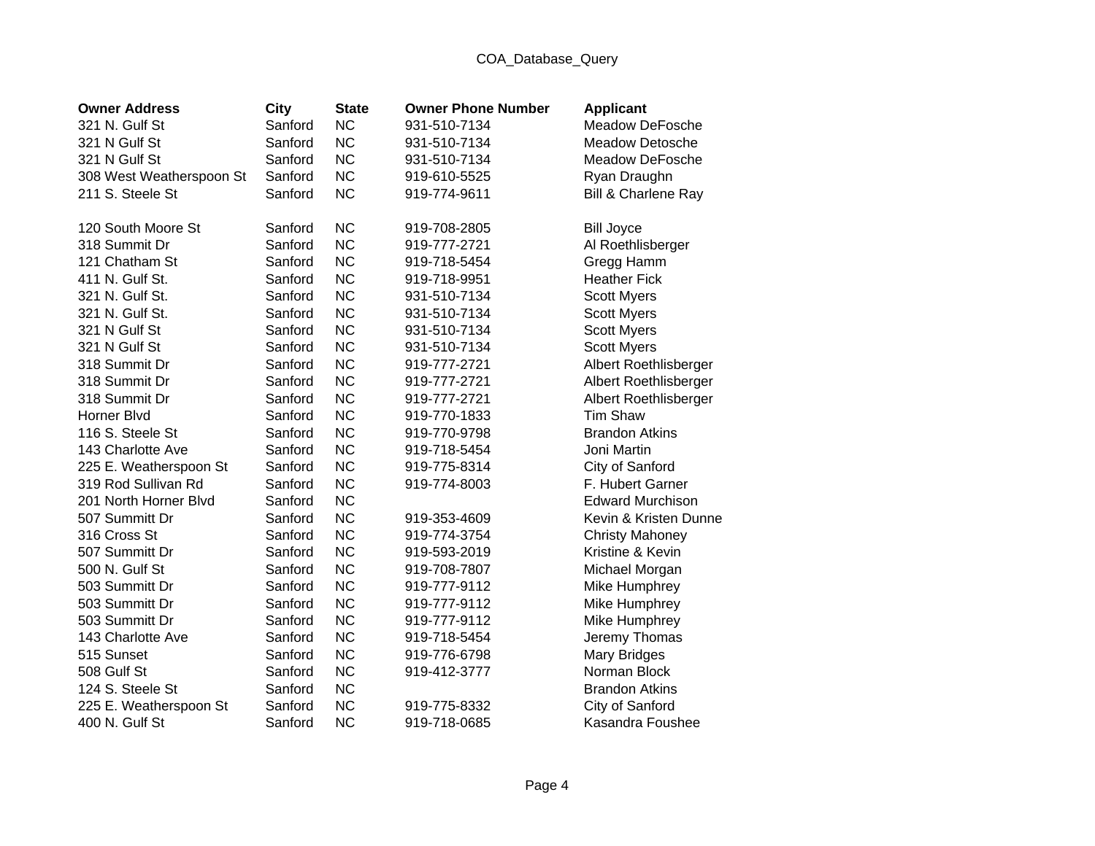## COA\_Database\_Query

| <b>Owner Address</b>     | <b>City</b> | <b>State</b> | <b>Owner Phone Number</b> | <b>Applicant</b>               |
|--------------------------|-------------|--------------|---------------------------|--------------------------------|
| 321 N. Gulf St           | Sanford     | <b>NC</b>    | 931-510-7134              | Meadow DeFosche                |
| 321 N Gulf St            | Sanford     | <b>NC</b>    | 931-510-7134              | Meadow Detosche                |
| 321 N Gulf St            | Sanford     | <b>NC</b>    | 931-510-7134              | Meadow DeFosche                |
| 308 West Weatherspoon St | Sanford     | <b>NC</b>    | 919-610-5525              | Ryan Draughn                   |
| 211 S. Steele St         | Sanford     | <b>NC</b>    | 919-774-9611              | <b>Bill &amp; Charlene Ray</b> |
| 120 South Moore St       | Sanford     | <b>NC</b>    | 919-708-2805              | <b>Bill Joyce</b>              |
| 318 Summit Dr            | Sanford     | <b>NC</b>    | 919-777-2721              | Al Roethlisberger              |
| 121 Chatham St           | Sanford     | <b>NC</b>    | 919-718-5454              | Gregg Hamm                     |
| 411 N. Gulf St.          | Sanford     | <b>NC</b>    | 919-718-9951              | <b>Heather Fick</b>            |
| 321 N. Gulf St.          | Sanford     | <b>NC</b>    | 931-510-7134              | <b>Scott Myers</b>             |
| 321 N. Gulf St.          | Sanford     | <b>NC</b>    | 931-510-7134              | <b>Scott Myers</b>             |
| 321 N Gulf St            | Sanford     | <b>NC</b>    | 931-510-7134              | <b>Scott Myers</b>             |
| 321 N Gulf St            | Sanford     | <b>NC</b>    | 931-510-7134              | <b>Scott Myers</b>             |
| 318 Summit Dr            | Sanford     | <b>NC</b>    | 919-777-2721              | Albert Roethlisberger          |
| 318 Summit Dr            | Sanford     | <b>NC</b>    | 919-777-2721              | Albert Roethlisberger          |
| 318 Summit Dr            | Sanford     | <b>NC</b>    | 919-777-2721              | Albert Roethlisberger          |
| Horner Blvd              | Sanford     | <b>NC</b>    | 919-770-1833              | <b>Tim Shaw</b>                |
| 116 S. Steele St         | Sanford     | <b>NC</b>    | 919-770-9798              | <b>Brandon Atkins</b>          |
| 143 Charlotte Ave        | Sanford     | <b>NC</b>    | 919-718-5454              | Joni Martin                    |
| 225 E. Weatherspoon St   | Sanford     | <b>NC</b>    | 919-775-8314              | City of Sanford                |
| 319 Rod Sullivan Rd      | Sanford     | <b>NC</b>    | 919-774-8003              | F. Hubert Garner               |
| 201 North Horner Blvd    | Sanford     | <b>NC</b>    |                           | <b>Edward Murchison</b>        |
| 507 Summitt Dr           | Sanford     | <b>NC</b>    | 919-353-4609              | Kevin & Kristen Dunne          |
| 316 Cross St             | Sanford     | <b>NC</b>    | 919-774-3754              | <b>Christy Mahoney</b>         |
| 507 Summitt Dr           | Sanford     | <b>NC</b>    | 919-593-2019              | Kristine & Kevin               |
| 500 N. Gulf St           | Sanford     | <b>NC</b>    | 919-708-7807              | Michael Morgan                 |
| 503 Summitt Dr           | Sanford     | <b>NC</b>    | 919-777-9112              | Mike Humphrey                  |
| 503 Summitt Dr           | Sanford     | <b>NC</b>    | 919-777-9112              | Mike Humphrey                  |
| 503 Summitt Dr           | Sanford     | <b>NC</b>    | 919-777-9112              | Mike Humphrey                  |
| 143 Charlotte Ave        | Sanford     | <b>NC</b>    | 919-718-5454              | Jeremy Thomas                  |
| 515 Sunset               | Sanford     | <b>NC</b>    | 919-776-6798              | <b>Mary Bridges</b>            |
| 508 Gulf St              | Sanford     | <b>NC</b>    | 919-412-3777              | Norman Block                   |
| 124 S. Steele St         | Sanford     | <b>NC</b>    |                           | <b>Brandon Atkins</b>          |
| 225 E. Weatherspoon St   | Sanford     | <b>NC</b>    | 919-775-8332              | City of Sanford                |
| 400 N. Gulf St           | Sanford     | <b>NC</b>    | 919-718-0685              | Kasandra Foushee               |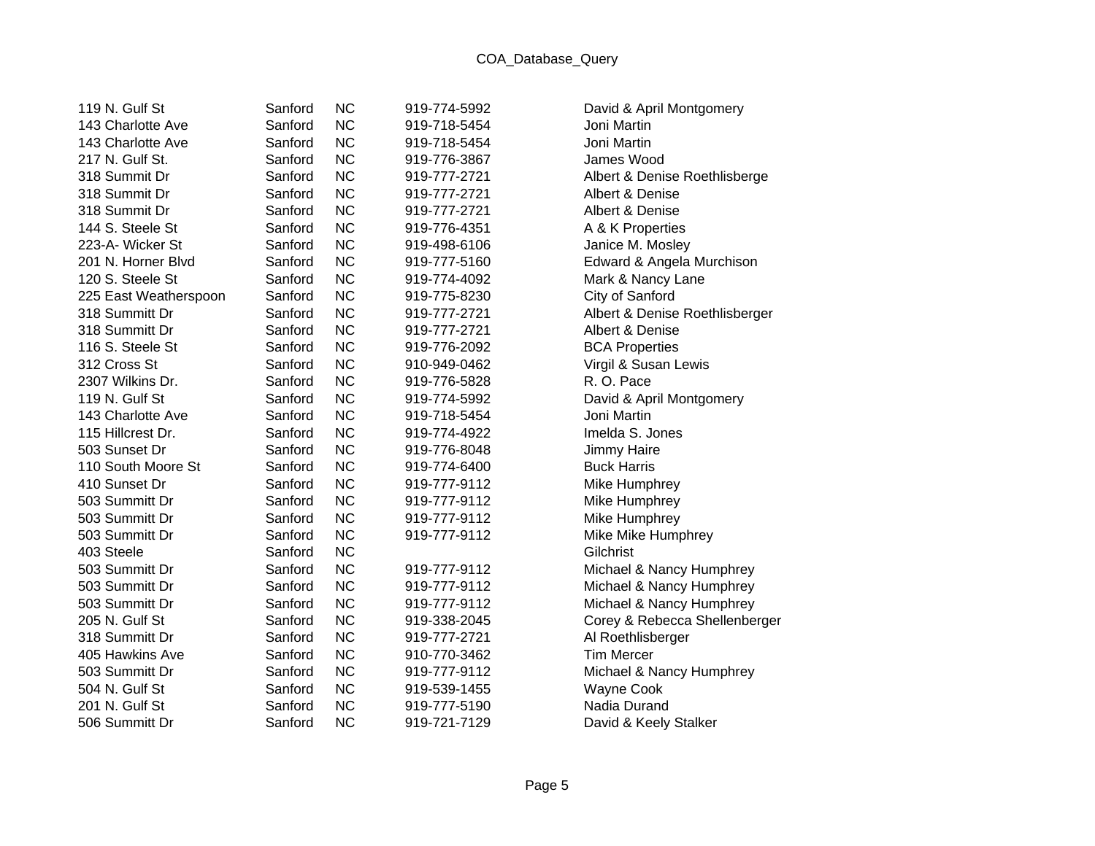| 119 N. Gulf St        | Sanford | <b>NC</b> | 919-774-5992 | David & April Montgomery       |
|-----------------------|---------|-----------|--------------|--------------------------------|
| 143 Charlotte Ave     | Sanford | <b>NC</b> | 919-718-5454 | Joni Martin                    |
| 143 Charlotte Ave     | Sanford | <b>NC</b> | 919-718-5454 | Joni Martin                    |
| 217 N. Gulf St.       | Sanford | <b>NC</b> | 919-776-3867 | James Wood                     |
| 318 Summit Dr         | Sanford | <b>NC</b> | 919-777-2721 | Albert & Denise Roethlisberge  |
| 318 Summit Dr         | Sanford | <b>NC</b> | 919-777-2721 | Albert & Denise                |
| 318 Summit Dr         | Sanford | <b>NC</b> | 919-777-2721 | Albert & Denise                |
| 144 S. Steele St      | Sanford | <b>NC</b> | 919-776-4351 | A & K Properties               |
| 223-A- Wicker St      | Sanford | <b>NC</b> | 919-498-6106 | Janice M. Mosley               |
| 201 N. Horner Blvd    | Sanford | <b>NC</b> | 919-777-5160 | Edward & Angela Murchison      |
| 120 S. Steele St      | Sanford | <b>NC</b> | 919-774-4092 | Mark & Nancy Lane              |
| 225 East Weatherspoon | Sanford | <b>NC</b> | 919-775-8230 | City of Sanford                |
| 318 Summitt Dr        | Sanford | <b>NC</b> | 919-777-2721 | Albert & Denise Roethlisberger |
| 318 Summitt Dr        | Sanford | <b>NC</b> | 919-777-2721 | Albert & Denise                |
| 116 S. Steele St      | Sanford | <b>NC</b> | 919-776-2092 | <b>BCA Properties</b>          |
| 312 Cross St          | Sanford | <b>NC</b> | 910-949-0462 | Virgil & Susan Lewis           |
| 2307 Wilkins Dr.      | Sanford | <b>NC</b> | 919-776-5828 | R. O. Pace                     |
| 119 N. Gulf St        | Sanford | <b>NC</b> | 919-774-5992 | David & April Montgomery       |
| 143 Charlotte Ave     | Sanford | <b>NC</b> | 919-718-5454 | Joni Martin                    |
| 115 Hillcrest Dr.     | Sanford | <b>NC</b> | 919-774-4922 | Imelda S. Jones                |
| 503 Sunset Dr         | Sanford | <b>NC</b> | 919-776-8048 | Jimmy Haire                    |
| 110 South Moore St    | Sanford | <b>NC</b> | 919-774-6400 | <b>Buck Harris</b>             |
| 410 Sunset Dr         | Sanford | <b>NC</b> | 919-777-9112 | Mike Humphrey                  |
| 503 Summitt Dr        | Sanford | <b>NC</b> | 919-777-9112 | Mike Humphrey                  |
| 503 Summitt Dr        | Sanford | <b>NC</b> | 919-777-9112 | Mike Humphrey                  |
| 503 Summitt Dr        | Sanford | <b>NC</b> | 919-777-9112 | Mike Mike Humphrey             |
| 403 Steele            | Sanford | <b>NC</b> |              | Gilchrist                      |
| 503 Summitt Dr        | Sanford | <b>NC</b> | 919-777-9112 | Michael & Nancy Humphrey       |
| 503 Summitt Dr        | Sanford | <b>NC</b> | 919-777-9112 | Michael & Nancy Humphrey       |
| 503 Summitt Dr        | Sanford | <b>NC</b> | 919-777-9112 | Michael & Nancy Humphrey       |
| 205 N. Gulf St        | Sanford | <b>NC</b> | 919-338-2045 | Corey & Rebecca Shellenberger  |
| 318 Summitt Dr        | Sanford | <b>NC</b> | 919-777-2721 | Al Roethlisberger              |
| 405 Hawkins Ave       | Sanford | <b>NC</b> | 910-770-3462 | <b>Tim Mercer</b>              |
| 503 Summitt Dr        | Sanford | <b>NC</b> | 919-777-9112 | Michael & Nancy Humphrey       |
| 504 N. Gulf St        | Sanford | <b>NC</b> | 919-539-1455 | Wayne Cook                     |
| 201 N. Gulf St        | Sanford | <b>NC</b> | 919-777-5190 | Nadia Durand                   |
| 506 Summitt Dr        | Sanford | <b>NC</b> | 919-721-7129 | David & Keely Stalker          |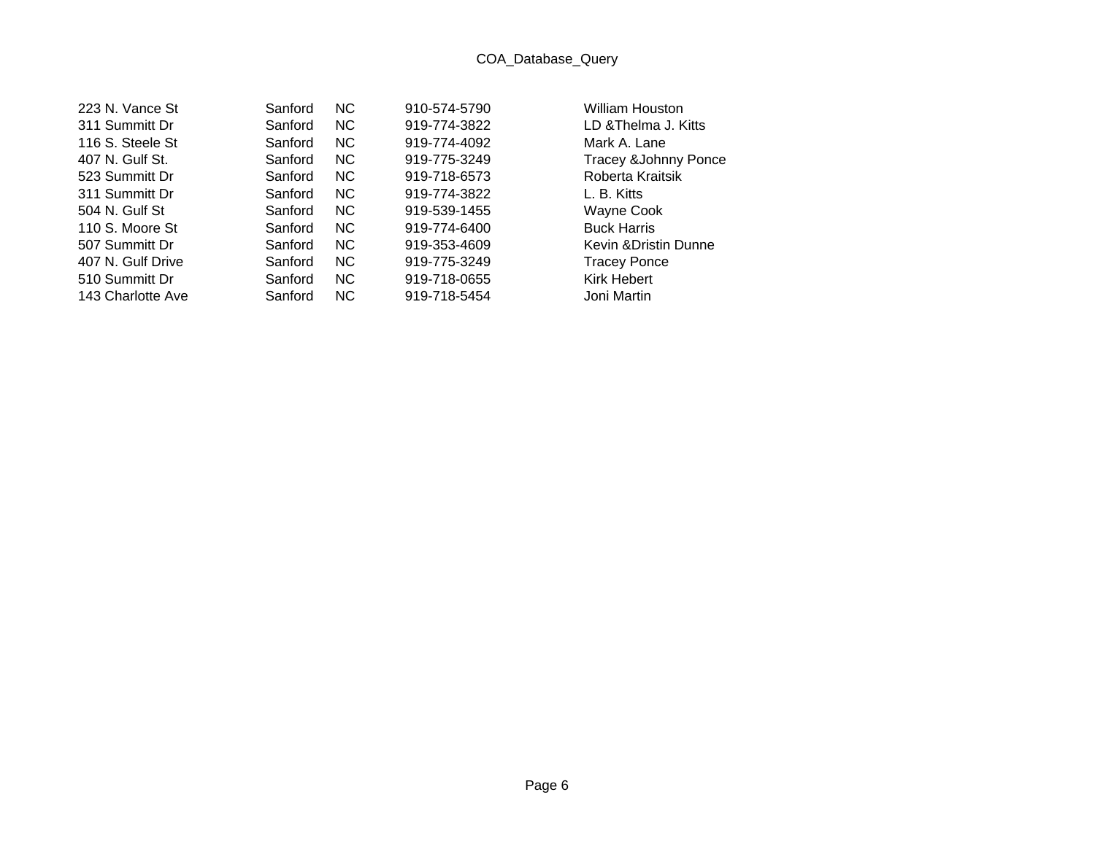| 223 N. Vance St   | Sanford | NC. | 910-574-5790 | William Houston                 |
|-------------------|---------|-----|--------------|---------------------------------|
| 311 Summitt Dr    | Sanford | NC. | 919-774-3822 | LD & Thelma J. Kitts            |
| 116 S. Steele St  | Sanford | NC. | 919-774-4092 | Mark A. Lane                    |
| 407 N. Gulf St.   | Sanford | NC. | 919-775-3249 | <b>Tracey &amp;Johnny Ponce</b> |
| 523 Summitt Dr    | Sanford | NC. | 919-718-6573 | Roberta Kraitsik                |
| 311 Summitt Dr    | Sanford | NC. | 919-774-3822 | L. B. Kitts                     |
| 504 N. Gulf St    | Sanford | NC. | 919-539-1455 | Wayne Cook                      |
| 110 S. Moore St   | Sanford | NC. | 919-774-6400 | <b>Buck Harris</b>              |
| 507 Summitt Dr    | Sanford | NC. | 919-353-4609 | Kevin & Dristin Dunne           |
| 407 N. Gulf Drive | Sanford | NC. | 919-775-3249 | <b>Tracey Ponce</b>             |
| 510 Summitt Dr    | Sanford | NC. | 919-718-0655 | <b>Kirk Hebert</b>              |
| 143 Charlotte Ave | Sanford | NC. | 919-718-5454 | Joni Martin                     |
|                   |         |     |              |                                 |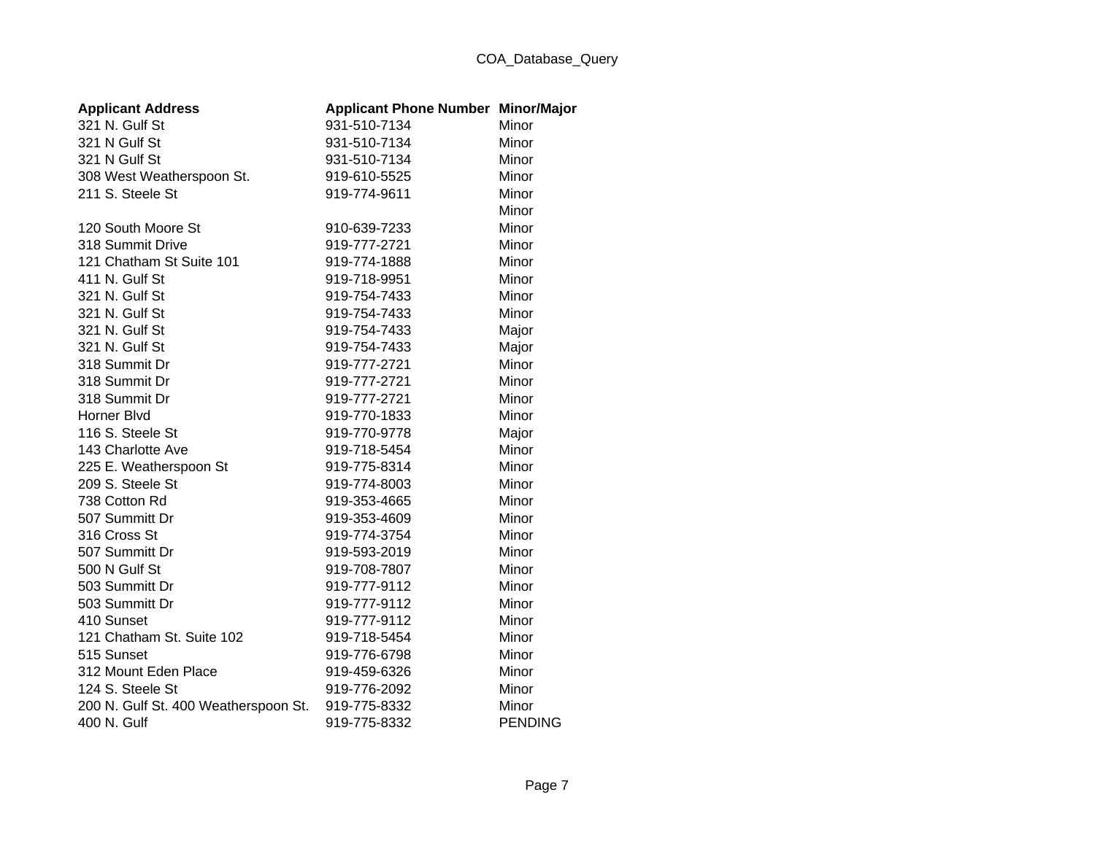## COA\_Database\_Query

| <b>Applicant Address</b>             | <b>Applicant Phone Number Minor/Major</b> |                |
|--------------------------------------|-------------------------------------------|----------------|
| 321 N. Gulf St                       | 931-510-7134                              | Minor          |
| 321 N Gulf St                        | 931-510-7134                              | Minor          |
| 321 N Gulf St                        | 931-510-7134                              | Minor          |
| 308 West Weatherspoon St.            | 919-610-5525                              | Minor          |
| 211 S. Steele St                     | 919-774-9611                              | Minor          |
|                                      |                                           | Minor          |
| 120 South Moore St                   | 910-639-7233                              | Minor          |
| 318 Summit Drive                     | 919-777-2721                              | Minor          |
| 121 Chatham St Suite 101             | 919-774-1888                              | Minor          |
| 411 N. Gulf St                       | 919-718-9951                              | Minor          |
| 321 N. Gulf St                       | 919-754-7433                              | Minor          |
| 321 N. Gulf St                       | 919-754-7433                              | Minor          |
| 321 N. Gulf St                       | 919-754-7433                              | Major          |
| 321 N. Gulf St                       | 919-754-7433                              | Major          |
| 318 Summit Dr                        | 919-777-2721                              | Minor          |
| 318 Summit Dr                        | 919-777-2721                              | Minor          |
| 318 Summit Dr                        | 919-777-2721                              | Minor          |
| Horner Blvd                          | 919-770-1833                              | Minor          |
| 116 S. Steele St                     | 919-770-9778                              | Major          |
| 143 Charlotte Ave                    | 919-718-5454                              | Minor          |
| 225 E. Weatherspoon St               | 919-775-8314                              | Minor          |
| 209 S. Steele St                     | 919-774-8003                              | Minor          |
| 738 Cotton Rd                        | 919-353-4665                              | Minor          |
| 507 Summitt Dr                       | 919-353-4609                              | Minor          |
| 316 Cross St                         | 919-774-3754                              | Minor          |
| 507 Summitt Dr                       | 919-593-2019                              | Minor          |
| 500 N Gulf St                        | 919-708-7807                              | Minor          |
| 503 Summitt Dr                       | 919-777-9112                              | Minor          |
| 503 Summitt Dr                       | 919-777-9112                              | Minor          |
| 410 Sunset                           | 919-777-9112                              | Minor          |
| 121 Chatham St. Suite 102            | 919-718-5454                              | Minor          |
| 515 Sunset                           | 919-776-6798                              | Minor          |
| 312 Mount Eden Place                 | 919-459-6326                              | Minor          |
| 124 S. Steele St                     | 919-776-2092                              | Minor          |
| 200 N. Gulf St. 400 Weatherspoon St. | 919-775-8332                              | Minor          |
| 400 N. Gulf                          | 919-775-8332                              | <b>PENDING</b> |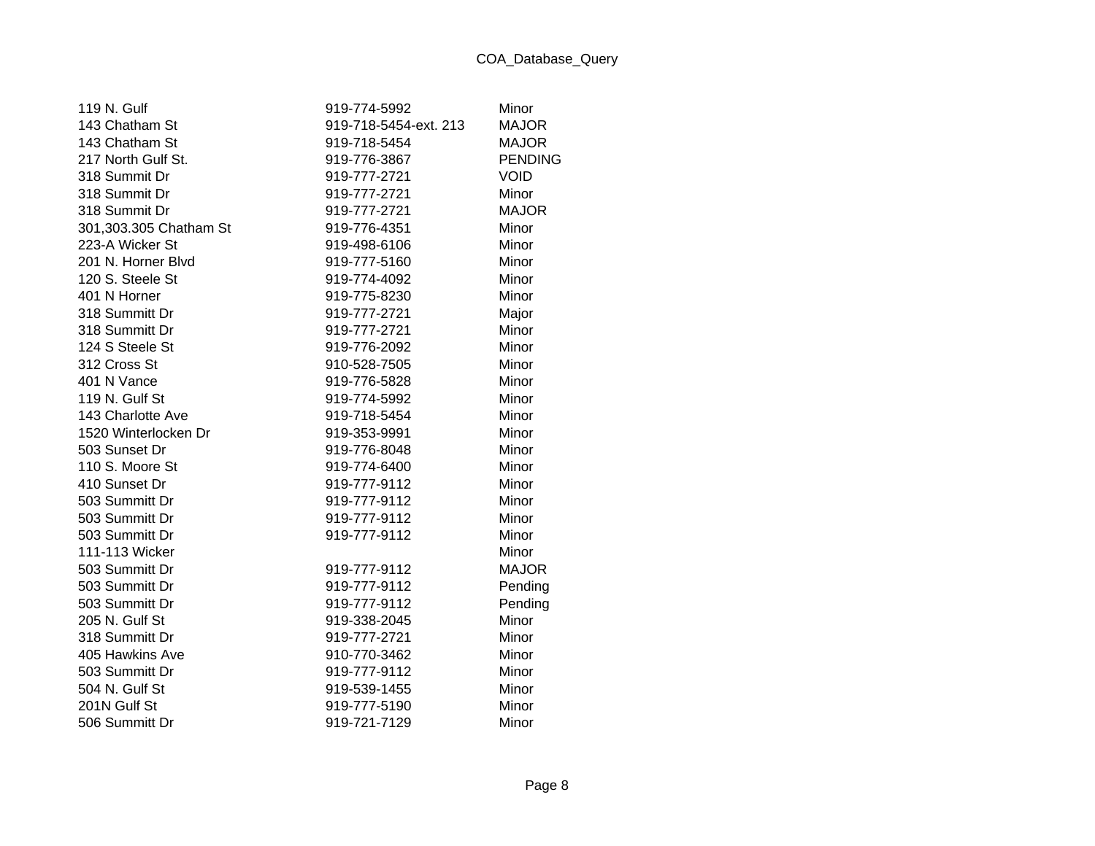| 119 N. Gulf            | 919-774-5992          | Minor          |
|------------------------|-----------------------|----------------|
| 143 Chatham St         | 919-718-5454-ext. 213 | <b>MAJOR</b>   |
| 143 Chatham St         | 919-718-5454          | <b>MAJOR</b>   |
| 217 North Gulf St.     | 919-776-3867          | <b>PENDING</b> |
| 318 Summit Dr          | 919-777-2721          | <b>VOID</b>    |
| 318 Summit Dr          | 919-777-2721          | Minor          |
| 318 Summit Dr          | 919-777-2721          | <b>MAJOR</b>   |
| 301,303.305 Chatham St | 919-776-4351          | Minor          |
| 223-A Wicker St        | 919-498-6106          | Minor          |
| 201 N. Horner Blvd     | 919-777-5160          | Minor          |
| 120 S. Steele St       | 919-774-4092          | Minor          |
| 401 N Horner           | 919-775-8230          | Minor          |
| 318 Summitt Dr         | 919-777-2721          | Major          |
| 318 Summitt Dr         | 919-777-2721          | Minor          |
| 124 S Steele St        | 919-776-2092          | Minor          |
| 312 Cross St           | 910-528-7505          | Minor          |
| 401 N Vance            | 919-776-5828          | Minor          |
| 119 N. Gulf St         | 919-774-5992          | Minor          |
| 143 Charlotte Ave      | 919-718-5454          | Minor          |
| 1520 Winterlocken Dr   | 919-353-9991          | Minor          |
| 503 Sunset Dr          | 919-776-8048          | Minor          |
| 110 S. Moore St        | 919-774-6400          | Minor          |
| 410 Sunset Dr          | 919-777-9112          | Minor          |
| 503 Summitt Dr         | 919-777-9112          | Minor          |
| 503 Summitt Dr         | 919-777-9112          | Minor          |
| 503 Summitt Dr         | 919-777-9112          | Minor          |
| 111-113 Wicker         |                       | Minor          |
| 503 Summitt Dr         | 919-777-9112          | <b>MAJOR</b>   |
| 503 Summitt Dr         | 919-777-9112          | Pending        |
| 503 Summitt Dr         | 919-777-9112          | Pending        |
| 205 N. Gulf St         | 919-338-2045          | Minor          |
| 318 Summitt Dr         | 919-777-2721          | Minor          |
| 405 Hawkins Ave        | 910-770-3462          | Minor          |
| 503 Summitt Dr         | 919-777-9112          | Minor          |
| 504 N. Gulf St         | 919-539-1455          | Minor          |
| 201N Gulf St           | 919-777-5190          | Minor          |
| 506 Summitt Dr         | 919-721-7129          | Minor          |